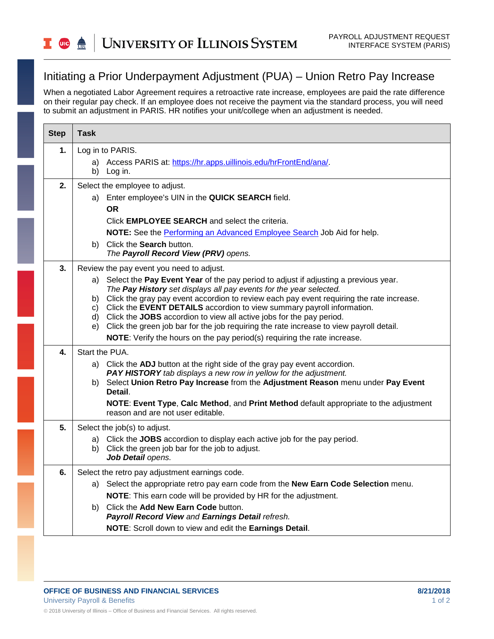## **UNIVERSITY OF ILLINOIS SYSTEM UIC**  $\frac{dm}{\text{UIS}}$

## Initiating a Prior Underpayment Adjustment (PUA) – Union Retro Pay Increase

When a negotiated Labor Agreement requires a retroactive rate increase, employees are paid the rate difference on their regular pay check. If an employee does not receive the payment via the standard process, you will need to submit an adjustment in PARIS. HR notifies your unit/college when an adjustment is needed.

| <b>Step</b> | <b>Task</b>                                                                                                                                                                                                                                                                                                                                                                                                                                                                                                                                                                                                                                  |
|-------------|----------------------------------------------------------------------------------------------------------------------------------------------------------------------------------------------------------------------------------------------------------------------------------------------------------------------------------------------------------------------------------------------------------------------------------------------------------------------------------------------------------------------------------------------------------------------------------------------------------------------------------------------|
| 1.          | Log in to PARIS.<br>Access PARIS at: https://hr.apps.uillinois.edu/hrFrontEnd/ana/.<br>a)<br>b) Log in.                                                                                                                                                                                                                                                                                                                                                                                                                                                                                                                                      |
| 2.          | Select the employee to adjust.<br>a) Enter employee's UIN in the QUICK SEARCH field.<br><b>OR</b><br>Click <b>EMPLOYEE SEARCH</b> and select the criteria.<br>NOTE: See the Performing an Advanced Employee Search Job Aid for help.<br>b) Click the <b>Search</b> button.<br>The Payroll Record View (PRV) opens.                                                                                                                                                                                                                                                                                                                           |
| 3.          | Review the pay event you need to adjust.<br>a) Select the Pay Event Year of the pay period to adjust if adjusting a previous year.<br>The Pay History set displays all pay events for the year selected.<br>b) Click the gray pay event accordion to review each pay event requiring the rate increase.<br>Click the EVENT DETAILS accordion to view summary payroll information.<br>C)<br>d) Click the JOBS accordion to view all active jobs for the pay period.<br>e) Click the green job bar for the job requiring the rate increase to view payroll detail.<br>NOTE: Verify the hours on the pay period(s) requiring the rate increase. |
| 4.          | Start the PUA.<br>a) Click the ADJ button at the right side of the gray pay event accordion.<br>PAY HISTORY tab displays a new row in yellow for the adjustment.<br>b) Select Union Retro Pay Increase from the Adjustment Reason menu under Pay Event<br>Detail.<br>NOTE: Event Type, Calc Method, and Print Method default appropriate to the adjustment<br>reason and are not user editable.                                                                                                                                                                                                                                              |
| 5.          | Select the job(s) to adjust.<br>a) Click the JOBS accordion to display each active job for the pay period.<br>b) Click the green job bar for the job to adjust.<br>Job Detail opens.                                                                                                                                                                                                                                                                                                                                                                                                                                                         |
| 6.          | Select the retro pay adjustment earnings code.<br>a) Select the appropriate retro pay earn code from the <b>New Earn Code Selection</b> menu.<br>NOTE: This earn code will be provided by HR for the adjustment.<br>b) Click the Add New Earn Code button.<br>Payroll Record View and Earnings Detail refresh.<br>NOTE: Scroll down to view and edit the Earnings Detail.                                                                                                                                                                                                                                                                    |